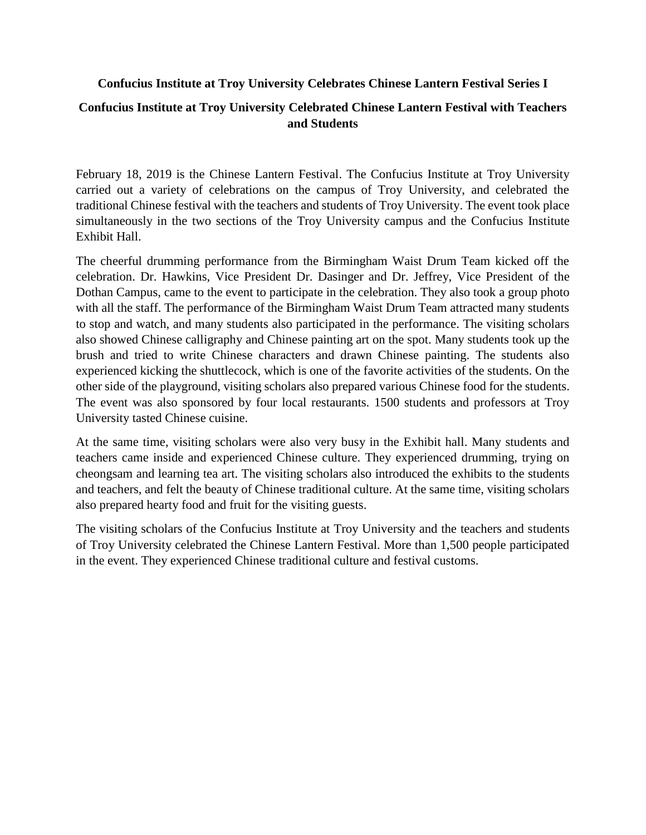## **Confucius Institute at Troy University Celebrates Chinese Lantern Festival Series I**

## **Confucius Institute at Troy University Celebrated Chinese Lantern Festival with Teachers and Students**

February 18, 2019 is the Chinese Lantern Festival. The Confucius Institute at Troy University carried out a variety of celebrations on the campus of Troy University, and celebrated the traditional Chinese festival with the teachers and students of Troy University. The event took place simultaneously in the two sections of the Troy University campus and the Confucius Institute Exhibit Hall.

The cheerful drumming performance from the Birmingham Waist Drum Team kicked off the celebration. Dr. Hawkins, Vice President Dr. Dasinger and Dr. Jeffrey, Vice President of the Dothan Campus, came to the event to participate in the celebration. They also took a group photo with all the staff. The performance of the Birmingham Waist Drum Team attracted many students to stop and watch, and many students also participated in the performance. The visiting scholars also showed Chinese calligraphy and Chinese painting art on the spot. Many students took up the brush and tried to write Chinese characters and drawn Chinese painting. The students also experienced kicking the shuttlecock, which is one of the favorite activities of the students. On the other side of the playground, visiting scholars also prepared various Chinese food for the students. The event was also sponsored by four local restaurants. 1500 students and professors at Troy University tasted Chinese cuisine.

At the same time, visiting scholars were also very busy in the Exhibit hall. Many students and teachers came inside and experienced Chinese culture. They experienced drumming, trying on cheongsam and learning tea art. The visiting scholars also introduced the exhibits to the students and teachers, and felt the beauty of Chinese traditional culture. At the same time, visiting scholars also prepared hearty food and fruit for the visiting guests.

The visiting scholars of the Confucius Institute at Troy University and the teachers and students of Troy University celebrated the Chinese Lantern Festival. More than 1,500 people participated in the event. They experienced Chinese traditional culture and festival customs.